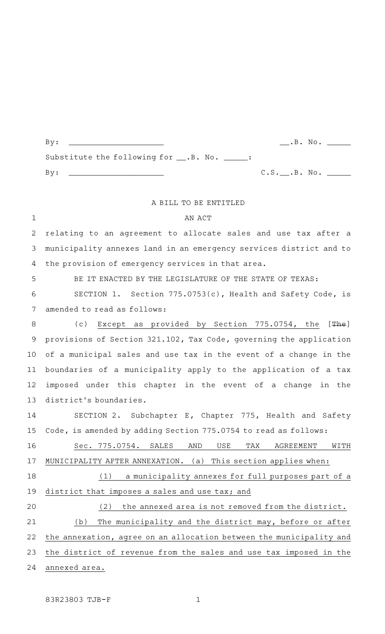|                                               |                        | $\cdot$ B. No. $\_\_$ |  |
|-----------------------------------------------|------------------------|-----------------------|--|
| Substitute the following for __.B. No. _____: |                        |                       |  |
|                                               | $C.S.$ $B. No.$ $100.$ |                       |  |
|                                               |                        |                       |  |

## A BILL TO BE ENTITLED

AN ACT relating to an agreement to allocate sales and use tax after a municipality annexes land in an emergency services district and to the provision of emergency services in that area. 1 2 3 4

BE IT ENACTED BY THE LEGISLATURE OF THE STATE OF TEXAS: SECTION 1. Section  $775.0753(c)$ , Health and Safety Code, is amended to read as follows: 5 6 7

(c) Except as provided by Section 775.0754, the [The] provisions of Section 321.102, Tax Code, governing the application of a municipal sales and use tax in the event of a change in the boundaries of a municipality apply to the application of a tax imposed under this chapter in the event of a change in the district 's boundaries. 8 9 10 11 12 13

SECTION 2. Subchapter E, Chapter 775, Health and Safety Code, is amended by adding Section 775.0754 to read as follows: 14 15

Sec. 775.0754. SALES AND USE TAX AGREEMENT WITH MUNICIPALITY AFTER ANNEXATION. (a) This section applies when: 16 17

 $(1)$  a municipality annexes for full purposes part of a district that imposes a sales and use tax; and 18 19

(2) the annexed area is not removed from the district. (b) The municipality and the district may, before or after the annexation, agree on an allocation between the municipality and the district of revenue from the sales and use tax imposed in the annexed area. 20 21 22 23 24

83R23803 TJB-F 1